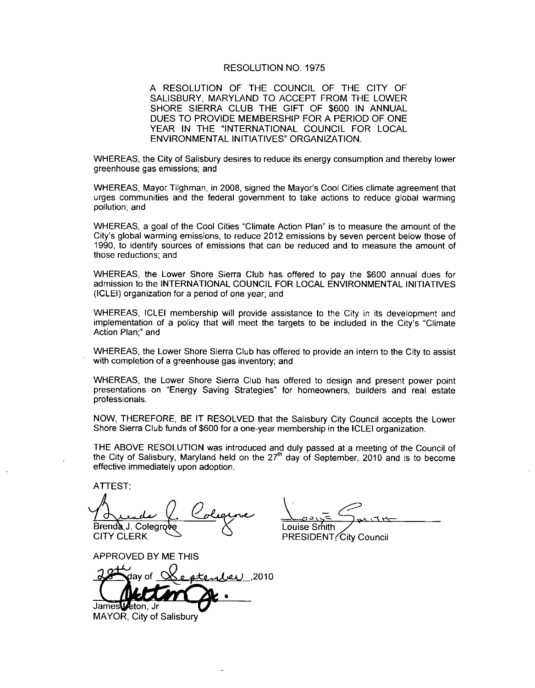## RESOLUTION NO. 1975

A RESOLUTION OF THE COUNCIL OF THE CITY OF SALISBURY, MARYLAND TO ACCEPT FROM THE LOWER SHORE SIERRA CLUB THE GIFT OF \$600 IN ANNUAL DUES TO PROVIDE MEMBERSHIP FOR A PERIOD OF ONE YEAR IN THE "INTERNATIONAL COUNCIL FOR LOCAL ENVIRONMENTAL INITIATIVES" ORGANIZATION.

WHEREAS, the City of Salisbury desires to reduce its energy consumption and thereby lower greenhouse gas emissions; and

WHEREAS, the City of Salisbury desires to reduce its energy consumption and thereby lower<br>greenhouse gas emissions; and<br>WHEREAS, Mayor Tilghman, in 2008, signed the Mayor's Cool Cities climate agreement that<br>urges communit pollution; and

WHEREAS, a goal of the Cool Cities "Climate Action Plan" is to measure the amount of the pollution; and<br>WHEREAS, a goal of the Cool Cities "Climate Action Plan" is to measure the amount of the<br>City's global warming emissions, to reduce 2012 emissions by seven percent below those of<br>1990, to identify sources of 1990, to identify sources of emissions that can be reduced and to measure the amount of those reductions; and

WHEREAS, the Lower Shore Sierra Club has offered to pay the \$600 annual dues for admission to the INTERNATIONAL COUNCIL FOR LOCAL ENVIRONMENTAL INITIATIVES (ICLEI) organization for a period of one year; and

WHEREAS, ICLEI membership will provide assistance to the City in its development and wheneves, and the targets of one year, and<br>implementation of a policy that will meet the targets to be included in the City's "Climate<br>Action Plan;" and Action Plan;" and

WHEREAS, the Lower Shore Sierra Club has offered to provide an intern to the City to assist with completion of a greenhouse gas inventory; and

WHEREAS, the Lower Shore Sierra Club has offered to design and present power point presentations on "Energy Saving Strategies" for homeowners, builders and real estate professionals

NOW, THEREFORE, BE IT RESOLVED that the Salisbury City Council accepts the Lower Shore Sierra Club funds of \$600 for a one-year membership in the ICLEI organization.

THE ABOVE RESOLUTION was introduced and duly passed at a meeting of the Council of the City of Salisbury, Maryland held on the  $27<sup>th</sup>$  day of September, 2010 and is to become effective immediately upon adoption

ATTEST

Brenda J. Colegrove<br>CITY CLERK ATTEST:<br>ATTEST:<br>Brenda J. Colegrove<br>CITY CLERK<br>APPROVED BY ME TI

APPROVED BY ME THIS

2010. كىغ James Veton, Jr.

MAYOR, City of Salisbury

ن<br>ا Louise Smith

PRESIDENT/City Council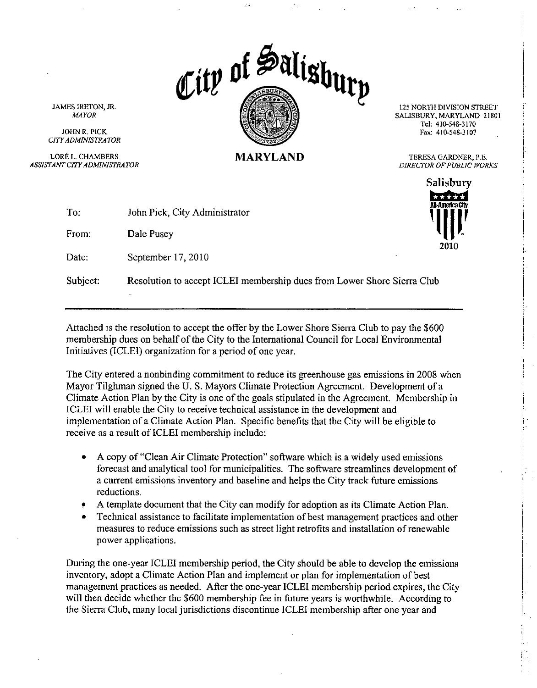

Tel: 410-548-3170<br>Fax: 410-548-3107

Salisbury

| To:      | John Pick, City Administrator                                           | <b>All-America City</b> |
|----------|-------------------------------------------------------------------------|-------------------------|
| From:    | Dale Pusey                                                              | 2010                    |
| Date:    | September 17, 2010                                                      |                         |
| Subject: | Resolution to accept ICLEI membership dues from Lower Shore Sierra Club |                         |
|          |                                                                         |                         |

ASSISTANTCI7YADMfNISTRATOR DJJtECTOR OFPURLIC WORKS

Attached is the resolution to accept the offer by the Lower Shore Sierra Club to pay the 5600 membership dues on behalf of the City to the International Council for Local Environmental Initiatives (ICLEI) organization for a period of one year.

The City entered anonbinding commitment to reduce its greenhouse gas emissions in <sup>2008</sup> when Mayor Tilghman signed the U.S. Mayors Climate Protection Agreement. Development of a Climate Action Plan by the City is one of the goals stipulated in the Agreement. Membership in ICLEI will enable the City to receive technical assistance in the development and implementation of a Climate Action Plan. Specific benefits that the City will be eligible to receive as a result of ICLEI membership include:

- A copy of "Clean Air Climate Protection" software which is a widely used emissions forecast and analytical tool for municipalities. The software streamlines development of a current emissions inventory and baseline and helps the City track future emissions reductions
- A template document that the City can modify for adoption as its Climate Action Plan.
- Technical assistance to facilitate implementation of best management practices and other measures to reduce emissions such as street light retrofits and installation of renewable power applications

During the one-year ICLEI membership period, the City should be able to develop the emissions inventory, adopt a Climate Action Plan and implement or plan for implementation of best management practices as needed. After the one-year ICLEI membership period expires, the City will then decide whether the \$600 membership fee in future years is worthwhile. According to the Sierra Club many local jurisdictions discontinue ICLEI membership after one year and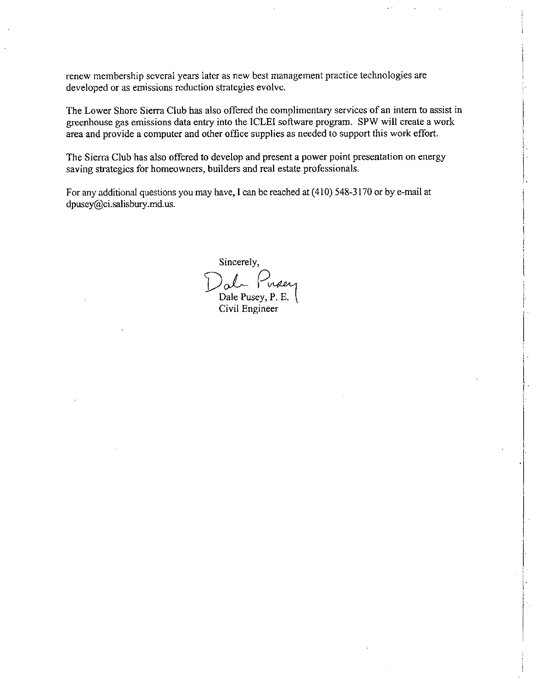renew membership several years later as new best management practice technologies are developed or as emissions reduction strategies evolve.

The Lower Shore Sierra Club has also offered the complimentary services of an intern to assist in greenhouse gas emissions data entry into the ICLEI software program SPW will create a work

The Sierra Club has also offered to develop and present a power point presentation on energy The Sierra Club has also offered to develop and present a power point psaving strategies for homeowners, builders and real estate professionals

area and provide a computer and other office supplies as needed to support this work effort<br>The Sierra Club has also offered to develop and present a power point presentation on energ<br>saving strategies for homeowners, buil saving strategies for homeowners, builders and real estate professionals.<br>For any additional questions you may have, I can be reached at (410) 548-3170 or by e-mail at dpusey@ci.salisbury.md.us.

Sincerely, nser Dale Pusey, P. E. Civil Engineer